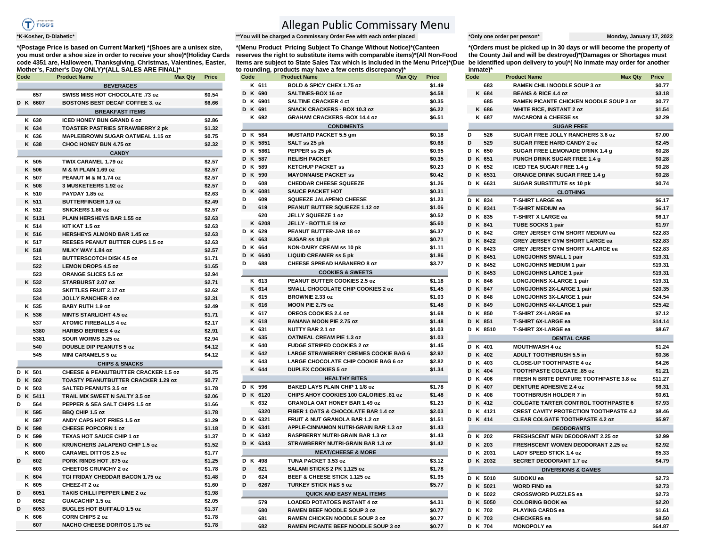

**\*(Postage Price is based on Current Market) \*(Shoes are a unisex size, you must order a shoe size in order to receive your shoe)\*(Holiday Cards code 4351 are, Halloween, Thanksgiving, Christmas, Valentines, Easter, Mother's, Father's Day ONLY)\*(ALL SALES ARE FINAL)\***

|   | Code |             | <b>Product Name</b><br>Max Qty                                               | Price            |
|---|------|-------------|------------------------------------------------------------------------------|------------------|
|   |      |             | <b>BEVERAGES</b>                                                             |                  |
|   |      | 657         | SWISS MISS HOT CHOCOLATE .73 oz                                              | \$0.54           |
|   |      | D K 6607    | <b>BOSTONS BEST DECAF COFFEE 3. oz</b>                                       | \$6.66           |
|   |      |             | <b>BREAKFAST ITEMS</b>                                                       |                  |
|   |      | K 630       | ICED HONEY BUN GRAND 6 oz                                                    | \$2.86           |
|   |      | K 634       | <b>TOASTER PASTRIES STRAWBERRY 2 pk</b>                                      | \$1.32           |
|   |      | K 636       | MAPLE/BROWN SUGAR OATMEAL 1.15 oz                                            | \$0.75           |
|   |      | K 638       | CHOC HONEY BUN 4.75 oz                                                       | \$2.32           |
|   |      |             | <b>CANDY</b>                                                                 |                  |
|   |      | K 505       | TWIX CARAMEL 1.79 oz                                                         | \$2.57           |
|   |      | K 506       | M & M PLAIN 1.69 oz                                                          | \$2.57           |
|   |      | K 507       | PEANUT M & M 1.74 oz                                                         | \$2.57           |
|   |      | K 508       | 3 MUSKETEERS 1.92 oz                                                         | \$2.57           |
|   |      | K 510       | PAYDAY 1.85 oz                                                               | \$2.63           |
|   |      | K 511       | <b>BUTTERFINGER 1.9 oz</b>                                                   | \$2.49           |
|   |      | K 512       | SNICKERS 1.86 oz                                                             | \$2.57           |
|   |      | K 5131      | PLAIN HERSHEYS BAR 1.55 oz                                                   | \$2.63           |
|   |      | K 514       | KIT KAT 1.5 oz                                                               | \$2.63           |
|   |      | K 516       | <b>HERSHEYS ALMOND BAR 1.45 oz</b>                                           | \$2.63           |
|   |      | K 517       | <b>REESES PEANUT BUTTER CUPS 1.5 oz</b>                                      | \$2.63           |
|   |      | K 518       | MILKY WAY 1.84 oz                                                            | \$2.57           |
|   |      | 521         | BUTTERSCOTCH DISK 4.5 oz                                                     | \$1.71           |
|   |      | 522         | <b>LEMON DROPS 4.5 oz</b>                                                    | \$1.65           |
|   |      | 523         | ORANGE SLICES 5.5 oz                                                         | \$2.94           |
|   |      | K 532       | STARBURST 2.07 oz                                                            | \$2.71           |
|   |      | 533         | <b>SKITTLES FRUIT 2.17 oz</b>                                                | \$2.62           |
|   |      | 534         | <b>JOLLY RANCHER 4 oz</b>                                                    | \$2.31           |
|   |      | K 535       | BABY RUTH 1.9 oz                                                             | \$2.49           |
|   |      | K 536       | <b>MINTS STARLIGHT 4.5 oz</b>                                                | \$1.71           |
|   |      | 537         | <b>ATOMIC FIREBALLS 4 oz</b>                                                 | \$2.17           |
|   |      | 5380        | <b>HARIBO BERRIES 4 oz</b>                                                   | \$2.91           |
|   |      | 5381<br>540 | SOUR WORMS 3.25 oz<br><b>DOUBLE DIP PEANUTS 5 oz</b>                         | \$2.94<br>\$4.12 |
|   |      | 545         | <b>MINI CARAMELS 5 oz</b>                                                    | \$4.12           |
|   |      |             |                                                                              |                  |
|   |      | D K 501     | <b>CHIPS &amp; SNACKS</b><br><b>CHEESE &amp; PEANUTBUTTER CRACKER 1.5 oz</b> |                  |
|   |      | D K 502     | TOASTY PEANUTBUTTER CRACKER 1.29 oz                                          | \$0.75<br>\$0.77 |
|   |      | D K 503     | SALTED PEANUTS 3.5 oz                                                        | \$1.78           |
| D |      | K 5411      | TRAIL MIX SWEET N SALTY 3.5 oz                                               | \$2.06           |
| D |      | 564         | PEPPER & SEA SALT CHIPS 1.5 oz                                               | \$1.66           |
|   |      | K 595       | BBQ CHIP 1.5 oz                                                              | \$1.78           |
|   |      | K 597       | ANDY CAPS HOT FRIES 1.5 oz                                                   | \$1.29           |
|   |      | D K 598     | <b>CHEESE POPCORN 1 oz</b>                                                   | \$1.18           |
|   |      | D K 599     | <b>TEXAS HOT SAUCE CHIP 1 oz</b>                                             | \$1.37           |
|   |      | K 600       | <b>KRUNCHERS JALAPENO CHIP 1.5 oz</b>                                        | \$1.52           |
|   |      | K 6000      | <b>CARAMEL DITTOS 2.5 oz</b>                                                 | \$1.77           |
| D |      | 602         | PORK RINDS HOT .875 oz                                                       | \$1.25           |
|   |      | 603         | <b>CHEETOS CRUNCHY 2 oz</b>                                                  | \$1.78           |
|   |      | K 604       | TGI FRIDAY CHEDDAR BACON 1.75 oz                                             | \$1.48           |
|   |      | K 605       | CHEEZ-IT 2 oz                                                                | \$1.60           |
| D |      | 6051        | TAKIS CHILLI PEPPER LIME 2 oz                                                | \$1.98           |
| D |      | 6052        | GUACACHIP 1.5 oz                                                             | \$2.05           |
| D |      | 6053        | <b>BUGLES HOT BUFFALO 1.5 oz</b>                                             | \$1.37           |
|   |      | K 606       | <b>CORN CHIPS 2 oz</b>                                                       | \$1.78           |
|   |      | 607         | <b>NACHO CHEESE DORITOS 1.75 oz</b>                                          | \$1.78           |

## Allegan Public Commissary Menu

**\*K-Kosher, D-Diabetic\* \*\*You will be charged a Commissary Order Fee with each order placed \*Only one order per person\* Monday, January 17, 2022**

ltems are subject to State Sales Tax which is included in the Menu Price)\*(Due be identified upon delivery to you)\*( No inmate may order for another **\*(Menu Product Pricing Subject To Change Without Notice)\*(Canteen reserves the right to substitute items with comparable items)\*(All Non-Food to rounding, products may have a few cents discrepancy)\*** 

| Code               |             | <b>Product Name</b>                                                                           | <b>Max Qty</b><br>Price | Code             | <b>Product Name</b>                                         | <b>Max Qty</b> | Price            | Code               | <b>Product Name</b>                                     | <b>Max Qty</b> | Price          |
|--------------------|-------------|-----------------------------------------------------------------------------------------------|-------------------------|------------------|-------------------------------------------------------------|----------------|------------------|--------------------|---------------------------------------------------------|----------------|----------------|
|                    |             | <b>BEVERAGES</b>                                                                              |                         | K 611            | BOLD & SPICY CHEX 1.75 oz                                   |                | \$1.49           | 683                | RAMEN CHILI NOODLE SOUP 3 oz                            |                | \$0.           |
|                    | 657         | SWISS MISS HOT CHOCOLATE .73 oz                                                               | \$0.54                  | D K 690          | SALTINES-BOX 16 oz                                          |                | \$4.58           | K 684              | <b>BEANS &amp; RICE 4.4 oz</b>                          |                | \$3.           |
| D K 6607           |             | <b>BOSTONS BEST DECAF COFFEE 3. oz</b>                                                        | \$6.66                  | D K 6901         | <b>SALTINE CRACKER 4 ct</b>                                 |                | \$0.35           | 685                | RAMEN PICANTE CHICKEN NOODLE SOUP 3 oz                  |                | \$0.           |
|                    |             | <b>BREAKFAST ITEMS</b>                                                                        |                         | D K 691          | <b>SNACK CRACKERS - BOX 10.3 oz</b>                         |                | \$6.22           | K 686              | <b>WHITE RICE, INSTANT 2 oz</b>                         |                | \$1.           |
|                    | K 630       | <b>ICED HONEY BUN GRAND 6 oz</b>                                                              | \$2.86                  | K 692            | <b>GRAHAM CRACKERS - BOX 14.4 oz</b>                        |                | \$6.51           | K 687              | <b>MACARONI &amp; CHEESE ss</b>                         |                | \$2.           |
|                    | K 634       | <b>TOASTER PASTRIES STRAWBERRY 2 pk</b>                                                       | \$1.32                  |                  | <b>CONDIMENTS</b>                                           |                |                  |                    | <b>SUGAR FREE</b>                                       |                |                |
|                    | K 636       | <b>MAPLE/BROWN SUGAR OATMEAL 1.15 oz</b>                                                      | \$0.75                  | D K 584          | <b>MUSTARD PACKET 5.5 gm</b>                                |                | \$0.18           | 526<br>D           | SUGAR FREE JOLLY RANCHERS 3.6 oz                        |                | \$7.           |
|                    | K 638       | CHOC HONEY BUN 4.75 oz                                                                        | \$2.32                  | D K 5851         | SALT ss 25 pk                                               |                | \$0.68           | D<br>529           | SUGAR FREE HARD CANDY 2 oz                              |                | \$2.           |
|                    |             | <b>CANDY</b>                                                                                  |                         | D K 5861         | PEPPER ss 25 pk                                             |                | \$0.95           | D K 650            | SUGAR FREE LEMONADE DRINK 1.4 g                         |                | \$0.           |
|                    | K 505       | TWIX CARAMEL 1.79 oz                                                                          | \$2.57                  | D K 587          | <b>RELISH PACKET</b>                                        |                | \$0.35           | D K 651            | PUNCH DRINK SUGAR FREE 1.4 g                            |                | \$0.           |
|                    | K 506       | <b>M &amp; M PLAIN 1.69 oz</b>                                                                | \$2.57                  | D K 589          | <b>KETCHUP PACKET SS</b>                                    |                | \$0.23           | D K 652            | <b>ICED TEA SUGAR FREE 1.4 g</b>                        |                | \$0.           |
|                    | K 507       | PEANUT M & M 1.74 oz                                                                          | \$2.57                  | D K 590          | <b>MAYONNAISE PACKET SS</b>                                 |                | \$0.42           | D K 6531           | ORANGE DRINK SUGAR FREE 1.4 g                           |                | \$0.           |
|                    | K 508       | 3 MUSKETEERS 1.92 oz                                                                          | \$2.57                  | 608<br>D         | <b>CHEDDAR CHEESE SQUEEZE</b>                               |                | \$1.26           | D K 6631           | <b>SUGAR SUBSTITUTE ss 10 pk</b>                        |                | \$0.           |
|                    | K 510       | PAYDAY 1.85 oz                                                                                | \$2.63                  | D K 6081         | <b>SAUCE PACKET HOT</b>                                     |                | \$0.31           |                    | <b>CLOTHING</b>                                         |                |                |
|                    | K 511       | <b>BUTTERFINGER 1.9 oz</b>                                                                    | \$2.49                  | 609<br>D         | SQUEEZE JALAPENO CHEESE                                     |                | \$1.23           | D K 834            | <b>T-SHIRT LARGE ea</b>                                 |                | \$6.           |
|                    | K 512       | SNICKERS 1.86 oz                                                                              | \$2.57                  | 619<br>D         | PEANUT BUTTER SQUEEZE 1.12 oz                               |                | \$1.06           | D K 8341           | <b>T-SHIRT MEDIUM ea</b>                                |                | \$6.           |
|                    | K 5131      | PLAIN HERSHEYS BAR 1.55 oz                                                                    | \$2.63                  | 620              | JELLY SQUEEZE 1 oz                                          |                | \$0.52           | D K 835            | <b>T-SHIRT X LARGE ea</b>                               |                | \$6.           |
|                    | K 514       | KIT KAT 1.5 oz                                                                                | \$2.63                  | K 6208           | JELLY - BOTTLE 19 oz                                        |                | \$5.60           | D K 841            | <b>TUBE SOCKS 1 pair</b>                                |                | \$1.           |
|                    | K 516       | <b>HERSHEYS ALMOND BAR 1.45 oz</b>                                                            | \$2.63                  | D K 629          | PEANUT BUTTER-JAR 18 oz                                     |                | \$6.37           | D K 842            | GREY JERSEY GYM SHORT MEDIUM ea                         |                | \$22.          |
|                    | K 517       | REESES PEANUT BUTTER CUPS 1.5 oz                                                              | \$2.63                  | K 663<br>D K 664 | SUGAR ss 10 pk<br><b>NON-DAIRY CREAM ss 10 pk</b>           |                | \$0.71           | D K 8422           | <b>GREY JERSEY GYM SHORT LARGE ea</b>                   |                | \$22.          |
|                    | K 518       | MILKY WAY 1.84 oz                                                                             | \$2.57                  | D K 6640         | <b>LIQUID CREAMER ss 5 pk</b>                               |                | \$1.11<br>\$1.86 | D K 8423           | GREY JERSEY GYM SHORT X-LARGE ea                        |                | \$22.          |
|                    | 521         | <b>BUTTERSCOTCH DISK 4.5 oz</b>                                                               | \$1.71                  | 688<br>D         | <b>CHEESE SPREAD HABANERO 8 oz</b>                          |                | \$3.77           | D K 8451           | <b>LONGJOHNS SMALL 1 pair</b>                           |                | \$19.          |
|                    | 522         | <b>LEMON DROPS 4.5 oz</b>                                                                     | \$1.65                  |                  |                                                             |                |                  | D K 8452           | <b>LONGJOHNS MEDIUM 1 pair</b>                          |                | \$19.          |
|                    | 523         | ORANGE SLICES 5.5 oz                                                                          | \$2.94                  |                  | <b>COOKIES &amp; SWEETS</b>                                 |                |                  | D K 8453           | <b>LONGJOHNS LARGE 1 pair</b>                           |                | \$19.          |
|                    | K 532       | STARBURST 2.07 oz                                                                             | \$2.71                  | K 613            | PEANUT BUTTER COOKIES 2.5 oz                                |                | \$1.18           | D K 846            | <b>LONGJOHNS X-LARGE 1 pair</b>                         |                | \$19.          |
|                    | 533         | <b>SKITTLES FRUIT 2.17 oz</b>                                                                 | \$2.62                  | K 614            | SMALL CHOCOLATE CHIP COOKIES 2 oz<br><b>BROWNIE 2.33 oz</b> |                | \$1.45           | D K 847<br>D K 848 | <b>LONGJOHNS 2X-LARGE 1 pair</b>                        |                | \$20.          |
|                    | 534         | <b>JOLLY RANCHER 4 oz</b>                                                                     | \$2.31                  | K 615<br>K 616   |                                                             |                | \$1.03<br>\$1.48 | D K 849            | LONGJOHNS 3X-LARGE 1 pair                               |                | \$24.<br>\$25. |
|                    | K 535       | BABY RUTH 1.9 oz                                                                              | \$2.49                  | K 617            | MOON PIE 2.75 oz<br>OREOS COOKIES 2.4 oz                    |                | \$1.68           | D K 850            | LONGJOHNS 4X-LARGE 1 pair<br><b>T-SHIRT 2X-LARGE ea</b> |                | \$7.           |
|                    | K 536       | <b>MINTS STARLIGHT 4.5 oz</b>                                                                 | \$1.71                  | K 618            | <b>BANANA MOON PIE 2.75 oz</b>                              |                | \$1.48           | D K 851            | <b>T-SHIRT 6X-LARGE ea</b>                              |                | \$14.          |
|                    | 537         | <b>ATOMIC FIREBALLS 4 oz</b>                                                                  | \$2.17                  | K 631            | NUTTY BAR 2.1 oz                                            |                | \$1.03           | D K 8510           | T-SHIRT 3X-LARGE ea                                     |                | \$8.           |
|                    | 5380        | <b>HARIBO BERRIES 4 oz</b>                                                                    | \$2.91                  | K 635            | <b>OATMEAL CREAM PIE 1.3 oz</b>                             |                | \$1.03           |                    | <b>DENTAL CARE</b>                                      |                |                |
|                    | 5381<br>540 | SOUR WORMS 3.25 oz<br><b>DOUBLE DIP PEANUTS 5 oz</b>                                          | \$2.94<br>\$4.12        | K 640            | <b>FUDGE STRIPED COOKIES 2 oz</b>                           |                | \$1.45           | D K 401            | <b>MOUTHWASH 4 oz</b>                                   |                | \$1.           |
|                    | 545         | <b>MINI CARAMELS 5 oz</b>                                                                     | \$4.12                  | K 642            | <b>LARGE STRAWBERRY CREMES COOKIE BAG 6</b>                 |                | \$2.92           | D K 402            | ADULT TOOTHBRUSH 5.5 in                                 |                | \$0.           |
|                    |             |                                                                                               |                         | K 643            | LARGE CHOCOLATE CHIP COOKIE BAG 6 oz                        |                | \$2.82           | D K 403            | <b>CLOSE-UP TOOTHPASTE 4 oz</b>                         |                | \$4.           |
|                    |             | <b>CHIPS &amp; SNACKS</b>                                                                     |                         | K 644            | <b>DUPLEX COOKIES 5 oz</b>                                  |                | \$1.34           | D K 404            | <b>TOOTHPASTE COLGATE .85 oz</b>                        |                | \$1.           |
| D K 501            |             | <b>CHEESE &amp; PEANUTBUTTER CRACKER 1.5 oz</b><br><b>TOASTY PEANUTBUTTER CRACKER 1.29 oz</b> | \$0.75                  |                  | <b>HEALTHY BITES</b>                                        |                |                  | D K 406            | FRESH N BRITE DENTURE TOOTHPASTE 3.8 oz                 |                | \$11.          |
| D K 502<br>D K 503 |             |                                                                                               | \$0.77                  | D K 596          | BAKED LAYS PLAIN CHIP 1 1/8 oz                              |                | \$1.78           | D K 407            | <b>DENTURE ADHESIVE 2.4 oz</b>                          |                | \$6.           |
| D K 5411           |             | SALTED PEANUTS 3.5 oz<br>TRAIL MIX SWEET N SALTY 3.5 oz                                       | \$1.78<br>\$2.06        | D K 6120         | CHIPS AHOY COOKIES 100 CALORIES .81 oz                      |                | \$1.48           | D K 408            | <b>TOOTHBRUSH HOLDER 7 in</b>                           |                | \$0.           |
| D                  | 564         | PEPPER & SEA SALT CHIPS 1.5 oz                                                                | \$1.66                  | K 632            | <b>GRANOLA OAT HONEY BAR 1.49 oz</b>                        |                | \$1.23           | D K 412            | <b>COLGATE TARTER CONTROL TOOTHPASTE 6</b>              |                | \$7.           |
|                    | K 595       | <b>BBQ CHIP 1.5 oz</b>                                                                        | \$1.78                  | 6320             | FIBER 1 OATS & CHOCOLATE BAR 1.4 oz                         |                | \$2.03           | D K 4121           | <b>CREST CAVITY PROTECTION TOOTHPASTE 4.2</b>           |                | \$8.           |
|                    | K 597       | ANDY CAPS HOT FRIES 1.5 oz                                                                    | \$1.29                  | D K 6321         | FRUIT & NUT GRANOLA BAR 1.2 oz                              |                | \$1.51           | D K 414            | <b>CLEAR COLGATE TOOTHPASTE 4.2 oz</b>                  |                | \$5.           |
| D K 598            |             | <b>CHEESE POPCORN 1 oz</b>                                                                    | \$1.18                  | D K 6341         | APPLE-CINNAMON NUTRI-GRAIN BAR 1.3 oz                       |                | \$1.43           |                    | <b>DEODORANTS</b>                                       |                |                |
| D K 599            |             | TEXAS HOT SAUCE CHIP 1 oz                                                                     | \$1.37                  | D K 6342         | <b>RASPBERRY NUTRI-GRAIN BAR 1.3 oz</b>                     |                | \$1.43           | D K 202            | FRESHSCENT MEN DEODORANT 2.25 oz                        |                | \$2.           |
|                    | K 600       | <b>KRUNCHERS JALAPENO CHIP 1.5 oz</b>                                                         | \$1.52                  | D K 6343         | STRAWBERRY NUTRI-GRAIN BAR 1.3 oz                           |                | \$1.42           | D K 203            | FRESHSCENT WOMEN DEODORANT 2.25 oz                      |                | \$2.           |
|                    | K 6000      | <b>CARAMEL DITTOS 2.5 oz</b>                                                                  | \$1.77                  |                  | <b>MEAT/CHEESE &amp; MORE</b>                               |                |                  | D K 2031           | LADY SPEED STICK 1.4 oz                                 |                | \$5.           |
| D                  | 602         | PORK RINDS HOT .875 oz                                                                        | \$1.25                  | D K 498          | TUNA PACKET 3.53 oz                                         |                | \$3.12           | D K 2032           | SECRET DEODORANT 1.7 oz                                 |                | \$4.           |
|                    | 603         | <b>CHEETOS CRUNCHY 2 oz</b>                                                                   | \$1.78                  | 621<br>D         | SALAMI STICKS 2 PK 1.125 oz                                 |                | \$1.78           |                    | <b>DIVERSIONS &amp; GAMES</b>                           |                |                |
|                    | K 604       | TGI FRIDAY CHEDDAR BACON 1.75 oz                                                              | \$1.48                  | D<br>624         | BEEF & CHEESE STICK 1.125 oz                                |                | \$1.95           | D K 5010           | SUDOKU ea                                               |                | \$2.           |
|                    | K 605       | CHEEZ-IT 2 oz                                                                                 | \$1.60                  | 6267<br>D        | <b>TURKEY STICK H&amp;S 5 oz</b>                            |                | \$5.77           | D K 5021           | <b>WORD FIND ea</b>                                     |                | \$2.           |
| D                  | 6051        | TAKIS CHILLI PEPPER LIME 2 oz                                                                 | \$1.98                  |                  | <b>QUICK AND EASY MEAL ITEMS</b>                            |                |                  | D K 5022           | <b>CROSSWORD PUZZLES ea</b>                             |                | \$2.           |
| D                  | 6052        | GUACACHIP 1.5 oz                                                                              | \$2.05                  | 579              | <b>LOADED POTATOES INSTANT 4 oz</b>                         |                | \$4.31           | D K 5050           | <b>COLORING BOOK ea</b>                                 |                | \$2.           |
|                    | 6053        | <b>BUGLES HOT BUFFALO 1.5 oz</b>                                                              | \$1.37                  | 680              | RAMEN BEEF NOODLE SOUP 3 oz                                 |                | \$0.77           | D K 702            | PLAYING CARDS ea                                        |                | \$1.           |
|                    | K 606       | <b>CORN CHIPS 2 oz</b>                                                                        | \$1.78                  | 681              | RAMEN CHICKEN NOODLE SOUP 3 oz                              |                | \$0.77           | D K 703            | <b>CHECKERS</b> ea                                      |                | \$8.           |
|                    | 607         | NACHO CHEESE DORITOS 1.75 oz                                                                  | \$1.78                  | 682              | RAMEN PICANTE BEEF NOODLE SOUP 3 oz                         |                | \$0.77           | D K 704            | MONOPOLY ea                                             |                | \$64.          |
|                    |             |                                                                                               |                         |                  |                                                             |                |                  |                    |                                                         |                |                |

**\*(Orders must be picked up in 30 days or will become the property of the County Jail and will be destroyed)\*(Damages or Shortages must inmate)\***

| 11111777 |  |          |                                               |                |         |  |
|----------|--|----------|-----------------------------------------------|----------------|---------|--|
| Code     |  |          | <b>Product Name</b>                           | <b>Max Qty</b> | Price   |  |
|          |  | 683      | <b>RAMEN CHILI NOODLE SOUP 3 oz</b>           |                | \$0.77  |  |
|          |  | K 684    | <b>BEANS &amp; RICE 4.4 oz</b>                |                | \$3.18  |  |
|          |  | 685      | RAMEN PICANTE CHICKEN NOODLE SOUP 3 oz        |                | \$0.77  |  |
|          |  | K 686    | <b>WHITE RICE, INSTANT 2 oz</b>               |                | \$1.54  |  |
|          |  | K 687    | <b>MACARONI &amp; CHEESE ss</b>               |                | \$2.29  |  |
|          |  |          | <b>SUGAR FREE</b>                             |                |         |  |
| D        |  | 526      | SUGAR FREE JOLLY RANCHERS 3.6 oz              |                | \$7.00  |  |
| D        |  | 529      | SUGAR FREE HARD CANDY 2 oz                    |                | \$2.45  |  |
| D        |  | K 650    | SUGAR FREE LEMONADE DRINK 1.4 g               |                | \$0.28  |  |
| D        |  | K 651    | PUNCH DRINK SUGAR FREE 1.4 g                  |                | \$0.28  |  |
| D        |  | K 652    | <b>ICED TEA SUGAR FREE 1.4 g</b>              |                | \$0.28  |  |
| D        |  | K 6531   | ORANGE DRINK SUGAR FREE 1.4 g                 |                | \$0.28  |  |
| D        |  | K 6631   | <b>SUGAR SUBSTITUTE ss 10 pk</b>              |                | \$0.74  |  |
|          |  |          | <b>CLOTHING</b>                               |                |         |  |
| D        |  | K 834    | <b>T-SHIRT LARGE ea</b>                       |                | \$6.17  |  |
| D        |  | K 8341   | <b>T-SHIRT MEDIUM ea</b>                      |                | \$6.17  |  |
| D        |  | K 835    | T-SHIRT X LARGE ea                            |                | \$6.17  |  |
|          |  | D K 841  | TUBE SOCKS 1 pair                             |                | \$1.97  |  |
|          |  | D K 842  | GREY JERSEY GYM SHORT MEDIUM ea               |                | \$22.83 |  |
| D        |  | K 8422   | GREY JERSEY GYM SHORT LARGE ea                |                | \$22.83 |  |
|          |  | D K 8423 | GREY JERSEY GYM SHORT X-LARGE ea              |                | \$22.83 |  |
|          |  | D K 8451 | <b>LONGJOHNS SMALL 1 pair</b>                 |                | \$19.31 |  |
| D        |  | K 8452   | <b>LONGJOHNS MEDIUM 1 pair</b>                |                | \$19.31 |  |
| D        |  | K 8453   | <b>LONGJOHNS LARGE 1 pair</b>                 |                | \$19.31 |  |
| D        |  | K 846    | <b>LONGJOHNS X-LARGE 1 pair</b>               |                | \$19.31 |  |
|          |  | D K 847  | LONGJOHNS 2X-LARGE 1 pair                     |                | \$20.35 |  |
|          |  | D K 848  | <b>LONGJOHNS 3X-LARGE 1 pair</b>              |                | \$24.54 |  |
|          |  | D K 849  | LONGJOHNS 4X-LARGE 1 pair                     |                | \$25.42 |  |
| D        |  | K 850    | T-SHIRT 2X-LARGE ea                           |                | \$7.12  |  |
|          |  | D K 851  | T-SHIRT 6X-LARGE ea                           |                | \$14.14 |  |
| D        |  | K 8510   | T-SHIRT 3X-LARGE ea                           |                | \$8.67  |  |
|          |  |          | <b>DENTAL CARE</b>                            |                |         |  |
|          |  | D K 401  | <b>MOUTHWASH 4 oz</b>                         |                | \$1.24  |  |
|          |  | D K 402  | <b>ADULT TOOTHBRUSH 5.5 in</b>                |                | \$0.36  |  |
| D        |  | K 403    | <b>CLOSE-UP TOOTHPASTE 4 oz</b>               |                | \$4.26  |  |
| D        |  | K 404    | TOOTHPASTE COLGATE .85 oz                     |                | \$1.21  |  |
| D        |  | K 406    | FRESH N BRITE DENTURE TOOTHPASTE 3.8 oz       |                | \$11.27 |  |
| D        |  | K 407    | <b>DENTURE ADHESIVE 2.4 oz</b>                |                | \$6.31  |  |
|          |  | D K 408  | <b>TOOTHBRUSH HOLDER 7 in</b>                 |                | \$0.61  |  |
| D        |  | K 412    | <b>COLGATE TARTER CONTROL TOOTHPASTE 6</b>    |                | \$7.93  |  |
| D        |  | K 4121   | <b>CREST CAVITY PROTECTION TOOTHPASTE 4.2</b> |                | \$8.46  |  |
| D        |  | K 414    | <b>CLEAR COLGATE TOOTHPASTE 4.2 oz</b>        |                | \$5.97  |  |
|          |  |          | <b>DEODORANTS</b>                             |                |         |  |
| D        |  | K 202    | FRESHSCENT MEN DEODORANT 2.25 oz              |                | \$2.99  |  |
| D        |  | K 203    | FRESHSCENT WOMEN DEODORANT 2.25 oz            |                | \$2.92  |  |
| D        |  | K 2031   | <b>LADY SPEED STICK 1.4 oz</b>                |                | \$5.33  |  |
| D        |  | K 2032   | <b>SECRET DEODORANT 1.7 oz</b>                |                | \$4.79  |  |
|          |  |          | <b>DIVERSIONS &amp; GAMES</b>                 |                |         |  |
| D        |  | K 5010   | SUDOKU ea                                     |                | \$2.73  |  |
|          |  | D K 5021 | <b>WORD FIND ea</b>                           |                | \$2.73  |  |
| D        |  | K 5022   | <b>CROSSWORD PUZZLES ea</b>                   |                | \$2.73  |  |
|          |  | D K 5050 | <b>COLORING BOOK ea</b>                       |                | \$2.20  |  |
| D        |  | K 702    | <b>PLAYING CARDS ea</b>                       |                | \$1.61  |  |
| D        |  | K 703    | <b>CHECKERS</b> ea                            |                | \$8.50  |  |
| D        |  | K 704    | MONOPOLY ea                                   |                | \$64.87 |  |